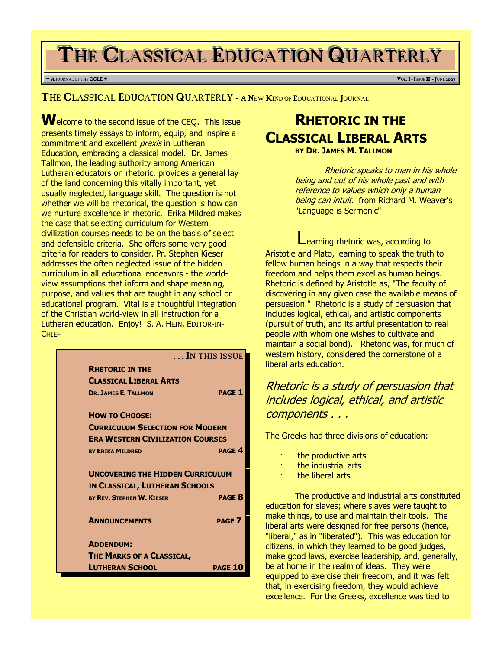# THE CLASSICAL EDUCATION QUARTERLY

#### <sup>+</sup> <sup>A</sup> JOURNAL OF THE CCLE <sup>+</sup> <sup>V</sup>OL. <sup>I</sup> - <sup>I</sup>SSUE II - <sup>J</sup>UNE <sup>2007</sup>

THE CLASSICAL EDUCATION QUARTERLY - A NEW KIND OF EDUCATIONAL JOURNAL

Welcome to the second issue of the CEQ. This issue presents timely essays to inform, equip, and inspire a commitment and excellent *praxis* in Lutheran Education, embracing a classical model. Dr. James Tallmon, the leading authority among American Lutheran educators on rhetoric, provides a general lay of the land concerning this vitally important, yet usually neglected, language skill. The question is not whether we will be rhetorical, the question is how can we nurture excellence in rhetoric. Erika Mildred makes the case that selecting curriculum for Western civilization courses needs to be on the basis of select and defensible criteria. She offers some very good criteria for readers to consider. Pr. Stephen Kieser addresses the often neglected issue of the hidden curriculum in all educational endeavors - the worldview assumptions that inform and shape meaning, purpose, and values that are taught in any school or educational program. Vital is a thoughtful integration of the Christian world-view in all instruction for a Lutheran education. Enjoy! S. A. HEIN, EDITOR-IN-CHIEF

|                                         | IN THIS ISSUE  |
|-----------------------------------------|----------------|
| <b>RHETORIC IN THE</b>                  |                |
| <b>CLASSICAL LIBERAL ARTS</b>           |                |
| <b>DR. JAMES E. TALLMON</b>             | <b>PAGE 1</b>  |
| <b>HOW TO CHOOSE:</b>                   |                |
| <b>CURRICULUM SELECTION FOR MODERN</b>  |                |
| <b>ERA WESTERN CIVILIZATION COURSES</b> |                |
| <b>BY ERIKA MILDRED</b>                 | <b>PAGE 4</b>  |
| <b>UNCOVERING THE HIDDEN CURRICULUM</b> |                |
| IN CLASSICAL, LUTHERAN SCHOOLS          |                |
| BY REV. STEPHEN W. KIESER               | <b>PAGE 8</b>  |
| <b>ANNOUNCEMENTS</b>                    | <b>PAGE 7</b>  |
| <b>ADDENDUM:</b>                        |                |
| THE MARKS OF A CLASSICAL,               |                |
| <b>LUTHERAN SCHOOL</b>                  | <b>PAGE 10</b> |
|                                         |                |

# RHETORIC IN THE CLASSICAL LIBERAL ARTS

BY DR. JAMES M. TALLMON

Rhetoric speaks to man in his whole being and out of his whole past and with reference to values which only a human being can intuit. from Richard M. Weaver's "Language is Sermonic"

earning rhetoric was, according to Aristotle and Plato, learning to speak the truth to fellow human beings in a way that respects their freedom and helps them excel as human beings. Rhetoric is defined by Aristotle as, "The faculty of discovering in any given case the available means of persuasion." Rhetoric is a study of persuasion that includes logical, ethical, and artistic components (pursuit of truth, and its artful presentation to real people with whom one wishes to cultivate and maintain a social bond). Rhetoric was, for much of western history, considered the cornerstone of a liberal arts education.

## Rhetoric is a study of persuasion that includes logical, ethical, and artistic components . . .

The Greeks had three divisions of education:

- the productive arts
- the industrial arts
- the liberal arts

The productive and industrial arts constituted education for slaves; where slaves were taught to make things, to use and maintain their tools. The liberal arts were designed for free persons (hence, "liberal," as in "liberated"). This was education for citizens, in which they learned to be good judges, make good laws, exercise leadership, and, generally, be at home in the realm of ideas. They were equipped to exercise their freedom, and it was felt that, in exercising freedom, they would achieve excellence. For the Greeks, excellence was tied to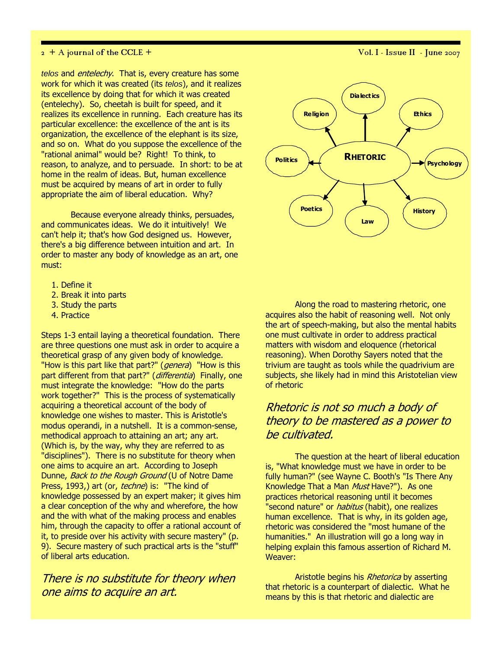telos and *entelechy*. That is, every creature has some work for which it was created (its telos), and it realizes its excellence by doing that for which it was created (entelechy). So, cheetah is built for speed, and it realizes its excellence in running. Each creature has its particular excellence: the excellence of the ant is its organization, the excellence of the elephant is its size, and so on. What do you suppose the excellence of the "rational animal" would be? Right! To think, to reason, to analyze, and to persuade. In short: to be at home in the realm of ideas. But, human excellence must be acquired by means of art in order to fully appropriate the aim of liberal education. Why?

Because everyone already thinks, persuades, and communicates ideas. We do it intuitively! We can't help it; that's how God designed us. However, there's a big difference between intuition and art. In order to master any body of knowledge as an art, one must:

- 1. Define it
- 2. Break it into parts
- 3. Study the parts
- 4. Practice

Steps 1-3 entail laying a theoretical foundation. There are three questions one must ask in order to acquire a theoretical grasp of any given body of knowledge. "How is this part like that part?" (*genera*) "How is this part different from that part?" (differentia) Finally, one must integrate the knowledge: "How do the parts work together?" This is the process of systematically acquiring a theoretical account of the body of knowledge one wishes to master. This is Aristotle's modus operandi, in a nutshell. It is a common-sense, methodical approach to attaining an art; any art. (Which is, by the way, why they are referred to as "disciplines"). There is no substitute for theory when one aims to acquire an art. According to Joseph Dunne, Back to the Rough Ground (U of Notre Dame Press, 1993,) art (or, techne) is: "The kind of knowledge possessed by an expert maker; it gives him a clear conception of the why and wherefore, the how and the with what of the making process and enables him, through the capacity to offer a rational account of it, to preside over his activity with secure mastery" (p. 9). Secure mastery of such practical arts is the "stuff" of liberal arts education.

There is no substitute for theory when one aims to acquire an art.



Along the road to mastering rhetoric, one acquires also the habit of reasoning well. Not only the art of speech-making, but also the mental habits one must cultivate in order to address practical matters with wisdom and eloquence (rhetorical reasoning). When Dorothy Sayers noted that the trivium are taught as tools while the quadrivium are subjects, she likely had in mind this Aristotelian view of rhetoric

## Rhetoric is not so much a body of theory to be mastered as a power to be cultivated.

The question at the heart of liberal education is, "What knowledge must we have in order to be fully human?" (see Wayne C. Booth's "Is There Any Knowledge That a Man Must Have?"). As one practices rhetorical reasoning until it becomes "second nature" or *habitus* (habit), one realizes human excellence. That is why, in its golden age, rhetoric was considered the "most humane of the humanities." An illustration will go a long way in helping explain this famous assertion of Richard M. Weaver:

Aristotle begins his Rhetorica by asserting that rhetoric is a counterpart of dialectic. What he means by this is that rhetoric and dialectic are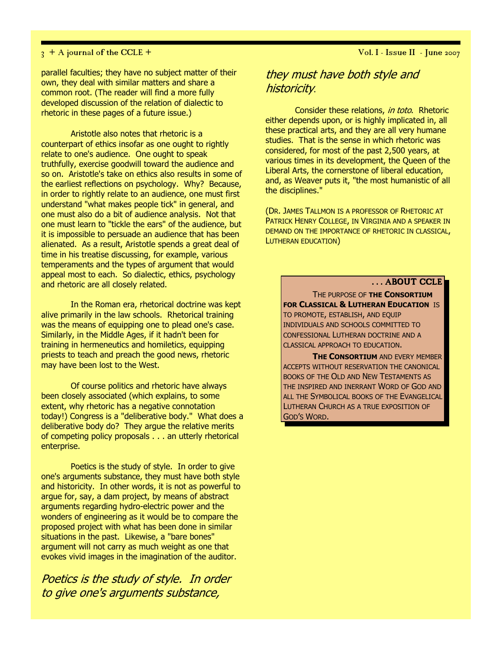parallel faculties; they have no subject matter of their own, they deal with similar matters and share a common root. (The reader will find a more fully developed discussion of the relation of dialectic to rhetoric in these pages of a future issue.)

Aristotle also notes that rhetoric is a counterpart of ethics insofar as one ought to rightly relate to one's audience. One ought to speak truthfully, exercise goodwill toward the audience and so on. Aristotle's take on ethics also results in some of the earliest reflections on psychology. Why? Because, in order to rightly relate to an audience, one must first understand "what makes people tick" in general, and one must also do a bit of audience analysis. Not that one must learn to "tickle the ears" of the audience, but it is impossible to persuade an audience that has been alienated. As a result, Aristotle spends a great deal of time in his treatise discussing, for example, various temperaments and the types of argument that would appeal most to each. So dialectic, ethics, psychology and rhetoric are all closely related.

In the Roman era, rhetorical doctrine was kept alive primarily in the law schools. Rhetorical training was the means of equipping one to plead one's case. Similarly, in the Middle Ages, if it hadn't been for training in hermeneutics and homiletics, equipping priests to teach and preach the good news, rhetoric may have been lost to the West.

Of course politics and rhetoric have always been closely associated (which explains, to some extent, why rhetoric has a negative connotation today!) Congress is a "deliberative body." What does a deliberative body do? They argue the relative merits of competing policy proposals . . . an utterly rhetorical enterprise.

Poetics is the study of style. In order to give one's arguments substance, they must have both style and historicity. In other words, it is not as powerful to argue for, say, a dam project, by means of abstract arguments regarding hydro-electric power and the wonders of engineering as it would be to compare the proposed project with what has been done in similar situations in the past. Likewise, a "bare bones" argument will not carry as much weight as one that evokes vivid images in the imagination of the auditor.

Poetics is the study of style. In order to give one's arguments substance,

## they must have both style and historicity.

Consider these relations, in toto. Rhetoric either depends upon, or is highly implicated in, all these practical arts, and they are all very humane studies. That is the sense in which rhetoric was considered, for most of the past 2,500 years, at various times in its development, the Queen of the Liberal Arts, the cornerstone of liberal education, and, as Weaver puts it, "the most humanistic of all the disciplines."

(DR. JAMES TALLMON IS A PROFESSOR OF RHETORIC AT PATRICK HENRY COLLEGE, IN VIRGINIA AND A SPEAKER IN DEMAND ON THE IMPORTANCE OF RHETORIC IN CLASSICAL, LUTHERAN EDUCATION)

## ... ABOUT CCLE

THE PURPOSE OF THE CONSORTIUM FOR CLASSICAL & LUTHERAN EDUCATION IS TO PROMOTE, ESTABLISH, AND EQUIP INDIVIDUALS AND SCHOOLS COMMITTED TO CONFESSIONAL LUTHERAN DOCTRINE AND A CLASSICAL APPROACH TO EDUCATION.

**THE CONSORTIUM AND EVERY MEMBER** ACCEPTS WITHOUT RESERVATION THE CANONICAL BOOKS OF THE OLD AND NEW TESTAMENTS AS THE INSPIRED AND INERRANT WORD OF GOD AND ALL THE SYMBOLICAL BOOKS OF THE EVANGELICAL LUTHERAN CHURCH AS A TRUE EXPOSITION OF GOD'S WORD.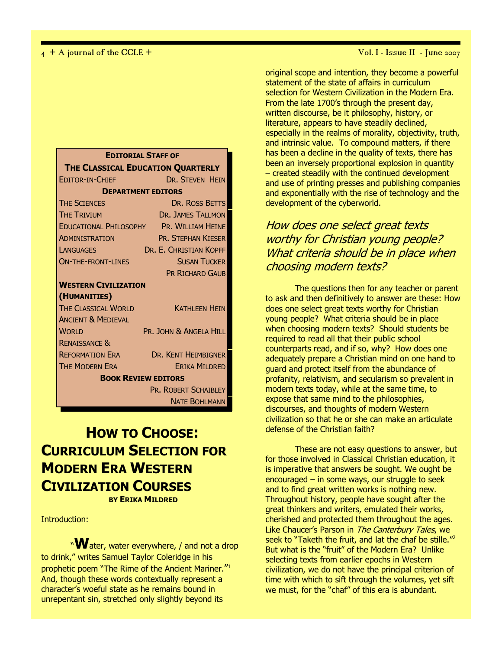| <b>EDITORIAL STAFF OF</b>         |                                          |  |
|-----------------------------------|------------------------------------------|--|
| THE CLASSICAL EDUCATION QUARTERLY |                                          |  |
| <b>EDITOR-IN-CHIEF</b>            | a a shekarar 200<br>DR. STEVEN HEIN      |  |
| <b>DEPARTMENT EDITORS</b>         |                                          |  |
| <b>THE SCIENCES</b>               | DR. ROSS BETTS                           |  |
| <b>THE TRIVIUM</b>                | <b>DR. JAMES TALLMON</b>                 |  |
|                                   | EDUCATIONAL PHILOSOPHY PR. WILLIAM HEINE |  |
| <b>ADMINISTRATION</b>             | <b>PR. STEPHAN KIESER</b>                |  |
| <b>LANGUAGES</b>                  | DR. E. CHRISTIAN KOPFF                   |  |
| <b>ON-THE-FRONT-LINES</b>         | <b>SUSAN TUCKER</b>                      |  |
|                                   | <b>PR RICHARD GAUB</b>                   |  |
| <b>WESTERN CIVILIZATION</b>       |                                          |  |
| (HUMANITIES)                      |                                          |  |
| THE CLASSICAL WORLD               | <b>KATHI FFN HFIN</b>                    |  |
| <b>ANCIENT &amp; MEDIEVAL</b>     |                                          |  |
| <b>WORLD</b>                      | PR. JOHN & ANGELA HILL                   |  |
| <b>RENAISSANCE &amp;</b>          |                                          |  |
| <b>REFORMATION ERA</b>            | DR. KENT HEIMBIGNER                      |  |
| <b>THE MODERN ERA</b>             | <b>ERIKA MILDRED</b>                     |  |
| <b>BOOK REVIEW EDITORS</b>        |                                          |  |
|                                   | PR. ROBERT SCHAIBLEY                     |  |
|                                   | <b>NATE BOHLMANN</b>                     |  |

## HOW TO CHOOSE: CURRICULUM SELECTION FOR MODERN ERA WESTERN CIVILIZATION COURSES BY ERIKA MILDRED

Introduction:

"Water, water everywhere, / and not a drop to drink," writes Samuel Taylor Coleridge in his prophetic poem "The Rime of the Ancient Mariner."<sup>1</sup> And, though these words contextually represent a character's woeful state as he remains bound in unrepentant sin, stretched only slightly beyond its

original scope and intention, they become a powerful statement of the state of affairs in curriculum selection for Western Civilization in the Modern Era. From the late 1700's through the present day, written discourse, be it philosophy, history, or literature, appears to have steadily declined, especially in the realms of morality, objectivity, truth, and intrinsic value. To compound matters, if there has been a decline in the quality of texts, there has been an inversely proportional explosion in quantity – created steadily with the continued development and use of printing presses and publishing companies and exponentially with the rise of technology and the development of the cyberworld.

## How does one select great texts worthy for Christian young people? What criteria should be in place when choosing modern texts?

The questions then for any teacher or parent to ask and then definitively to answer are these: How does one select great texts worthy for Christian young people? What criteria should be in place when choosing modern texts? Should students be required to read all that their public school counterparts read, and if so, why? How does one adequately prepare a Christian mind on one hand to guard and protect itself from the abundance of profanity, relativism, and secularism so prevalent in modern texts today, while at the same time, to expose that same mind to the philosophies, discourses, and thoughts of modern Western civilization so that he or she can make an articulate defense of the Christian faith?

These are not easy questions to answer, but for those involved in Classical Christian education, it is imperative that answers be sought. We ought be encouraged – in some ways, our struggle to seek and to find great written works is nothing new. Throughout history, people have sought after the great thinkers and writers, emulated their works, cherished and protected them throughout the ages. Like Chaucer's Parson in The Canterbury Tales, we seek to "Taketh the fruit, and lat the chaf be stille."<sup>2</sup> But what is the "fruit" of the Modern Era? Unlike selecting texts from earlier epochs in Western civilization, we do not have the principal criterion of time with which to sift through the volumes, yet sift we must, for the "chaf" of this era is abundant.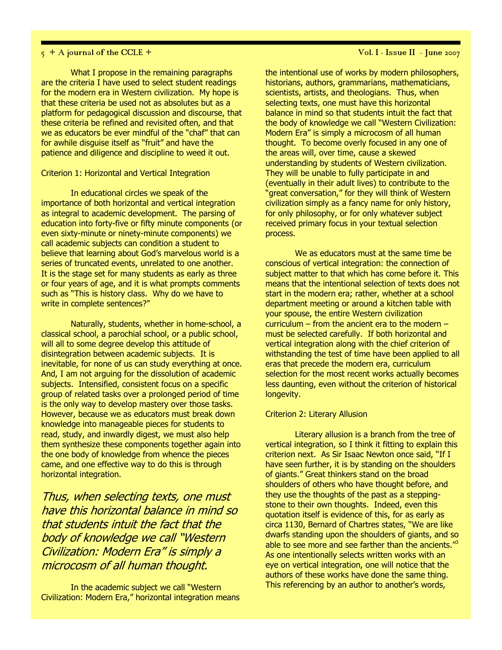## $5 + A$  journal of the CCLE +  $\overline{V}$  val. I - Issue II - June 2007

What I propose in the remaining paragraphs are the criteria I have used to select student readings for the modern era in Western civilization. My hope is that these criteria be used not as absolutes but as a platform for pedagogical discussion and discourse, that these criteria be refined and revisited often, and that we as educators be ever mindful of the "chaf" that can for awhile disguise itself as "fruit" and have the patience and diligence and discipline to weed it out.

#### Criterion 1: Horizontal and Vertical Integration

In educational circles we speak of the importance of both horizontal and vertical integration as integral to academic development. The parsing of education into forty-five or fifty minute components (or even sixty-minute or ninety-minute components) we call academic subjects can condition a student to believe that learning about God's marvelous world is a series of truncated events, unrelated to one another. It is the stage set for many students as early as three or four years of age, and it is what prompts comments such as "This is history class. Why do we have to write in complete sentences?"

Naturally, students, whether in home-school, a classical school, a parochial school, or a public school, will all to some degree develop this attitude of disintegration between academic subjects. It is inevitable, for none of us can study everything at once. And, I am not arguing for the dissolution of academic subjects. Intensified, consistent focus on a specific group of related tasks over a prolonged period of time is the only way to develop mastery over those tasks. However, because we as educators must break down knowledge into manageable pieces for students to read, study, and inwardly digest, we must also help them synthesize these components together again into the one body of knowledge from whence the pieces came, and one effective way to do this is through horizontal integration.

Thus, when selecting texts, one must have this horizontal balance in mind so that students intuit the fact that the body of knowledge we call "Western Civilization: Modern Era" is simply a microcosm of all human thought.

In the academic subject we call "Western Civilization: Modern Era," horizontal integration means the intentional use of works by modern philosophers, historians, authors, grammarians, mathematicians, scientists, artists, and theologians. Thus, when selecting texts, one must have this horizontal balance in mind so that students intuit the fact that the body of knowledge we call "Western Civilization: Modern Era" is simply a microcosm of all human thought. To become overly focused in any one of the areas will, over time, cause a skewed understanding by students of Western civilization. They will be unable to fully participate in and (eventually in their adult lives) to contribute to the "great conversation," for they will think of Western civilization simply as a fancy name for only history, for only philosophy, or for only whatever subject received primary focus in your textual selection process.

We as educators must at the same time be conscious of vertical integration: the connection of subject matter to that which has come before it. This means that the intentional selection of texts does not start in the modern era; rather, whether at a school department meeting or around a kitchen table with your spouse, the entire Western civilization curriculum – from the ancient era to the modern – must be selected carefully. If both horizontal and vertical integration along with the chief criterion of withstanding the test of time have been applied to all eras that precede the modern era, curriculum selection for the most recent works actually becomes less daunting, even without the criterion of historical longevity.

#### Criterion 2: Literary Allusion

Literary allusion is a branch from the tree of vertical integration, so I think it fitting to explain this criterion next. As Sir Isaac Newton once said, "If I have seen further, it is by standing on the shoulders of giants." Great thinkers stand on the broad shoulders of others who have thought before, and they use the thoughts of the past as a steppingstone to their own thoughts. Indeed, even this quotation itself is evidence of this, for as early as circa 1130, Bernard of Chartres states, "We are like dwarfs standing upon the shoulders of giants, and so able to see more and see farther than the ancients."<sup>3</sup> As one intentionally selects written works with an eye on vertical integration, one will notice that the authors of these works have done the same thing. This referencing by an author to another's words,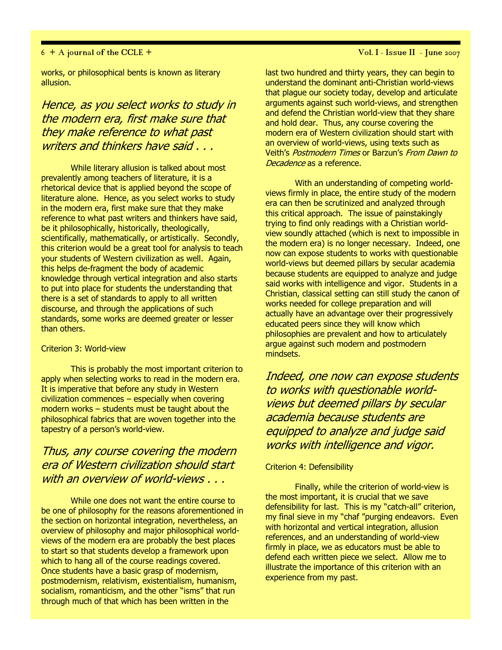works, or philosophical bents is known as literary allusion.

## Hence, as you select works to study in the modern era, first make sure that they make reference to what past writers and thinkers have said . . .

While literary allusion is talked about most prevalently among teachers of literature, it is a rhetorical device that is applied beyond the scope of literature alone. Hence, as you select works to study in the modern era, first make sure that they make reference to what past writers and thinkers have said, be it philosophically, historically, theologically, scientifically, mathematically, or artistically. Secondly, this criterion would be a great tool for analysis to teach your students of Western civilization as well. Again, this helps de-fragment the body of academic knowledge through vertical integration and also starts to put into place for students the understanding that there is a set of standards to apply to all written discourse, and through the applications of such standards, some works are deemed greater or lesser than others.

## Criterion 3: World-view

This is probably the most important criterion to apply when selecting works to read in the modern era. It is imperative that before any study in Western civilization commences – especially when covering modern works – students must be taught about the philosophical fabrics that are woven together into the tapestry of a person's world-view.

## Thus, any course covering the modern era of Western civilization should start with an overview of world-views . . .

While one does not want the entire course to be one of philosophy for the reasons aforementioned in the section on horizontal integration, nevertheless, an overview of philosophy and major philosophical worldviews of the modern era are probably the best places to start so that students develop a framework upon which to hang all of the course readings covered. Once students have a basic grasp of modernism, postmodernism, relativism, existentialism, humanism, socialism, romanticism, and the other "isms" that run through much of that which has been written in the

last two hundred and thirty years, they can begin to understand the dominant anti-Christian world-views that plague our society today, develop and articulate arguments against such world-views, and strengthen and defend the Christian world-view that they share and hold dear. Thus, any course covering the modern era of Western civilization should start with an overview of world-views, using texts such as Veith's Postmodern Times or Barzun's From Dawn to Decadence as a reference.

With an understanding of competing worldviews firmly in place, the entire study of the modern era can then be scrutinized and analyzed through this critical approach. The issue of painstakingly trying to find only readings with a Christian worldview soundly attached (which is next to impossible in the modern era) is no longer necessary. Indeed, one now can expose students to works with questionable world-views but deemed pillars by secular academia because students are equipped to analyze and judge said works with intelligence and vigor. Students in a Christian, classical setting can still study the canon of works needed for college preparation and will actually have an advantage over their progressively educated peers since they will know which philosophies are prevalent and how to articulately argue against such modern and postmodern mindsets.

Indeed, one now can expose students to works with questionable worldviews but deemed pillars by secular academia because students are equipped to analyze and judge said works with intelligence and vigor.

## Criterion 4: Defensibility

Finally, while the criterion of world-view is the most important, it is crucial that we save defensibility for last. This is my "catch-all" criterion, my final sieve in my "chaf "purging endeavors. Even with horizontal and vertical integration, allusion references, and an understanding of world-view firmly in place, we as educators must be able to defend each written piece we select. Allow me to illustrate the importance of this criterion with an experience from my past.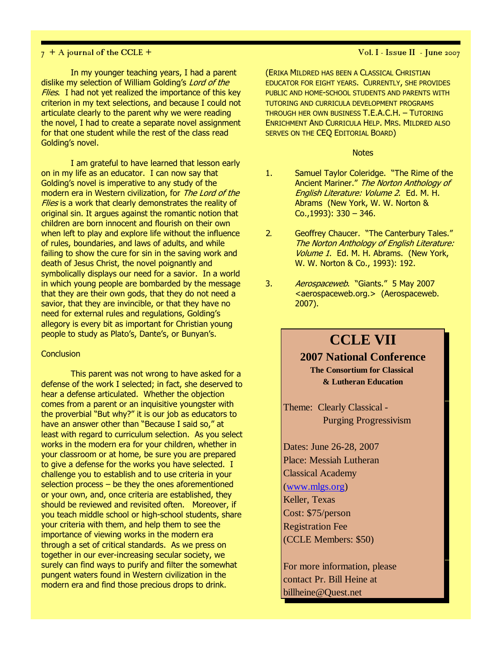In my younger teaching years, I had a parent dislike my selection of William Golding's Lord of the Flies. I had not yet realized the importance of this key criterion in my text selections, and because I could not articulate clearly to the parent why we were reading the novel, I had to create a separate novel assignment for that one student while the rest of the class read Golding's novel.

I am grateful to have learned that lesson early on in my life as an educator. I can now say that Golding's novel is imperative to any study of the modern era in Western civilization, for The Lord of the Flies is a work that clearly demonstrates the reality of original sin. It argues against the romantic notion that children are born innocent and flourish on their own when left to play and explore life without the influence of rules, boundaries, and laws of adults, and while failing to show the cure for sin in the saving work and death of Jesus Christ, the novel poignantly and symbolically displays our need for a savior. In a world in which young people are bombarded by the message that they are their own gods, that they do not need a savior, that they are invincible, or that they have no need for external rules and regulations, Golding's allegory is every bit as important for Christian young people to study as Plato's, Dante's, or Bunyan's.

## **Conclusion**

This parent was not wrong to have asked for a defense of the work I selected; in fact, she deserved to hear a defense articulated. Whether the objection comes from a parent or an inquisitive youngster with the proverbial "But why?" it is our job as educators to have an answer other than "Because I said so," at least with regard to curriculum selection. As you select works in the modern era for your children, whether in your classroom or at home, be sure you are prepared to give a defense for the works you have selected. I challenge you to establish and to use criteria in your selection process – be they the ones aforementioned or your own, and, once criteria are established, they should be reviewed and revisited often. Moreover, if you teach middle school or high-school students, share your criteria with them, and help them to see the importance of viewing works in the modern era through a set of critical standards. As we press on together in our ever-increasing secular society, we surely can find ways to purify and filter the somewhat pungent waters found in Western civilization in the modern era and find those precious drops to drink.

(ERIKA MILDRED HAS BEEN A CLASSICAL CHRISTIAN EDUCATOR FOR EIGHT YEARS. CURRENTLY, SHE PROVIDES PUBLIC AND HOME-SCHOOL STUDENTS AND PARENTS WITH TUTORING AND CURRICULA DEVELOPMENT PROGRAMS THROUGH HER OWN BUSINESS T.E.A.C.H. – TUTORING ENRICHMENT AND CURRICULA HELP. MRS. MILDRED ALSO SERVES ON THE CEQ EDITORIAL BOARD)

#### **Notes**

- 1. Samuel Taylor Coleridge. "The Rime of the Ancient Mariner." The Norton Anthology of English Literature: Volume 2. Ed. M. H. Abrams (New York, W. W. Norton & Co.,1993): 330 – 346.
- 2. Geoffrey Chaucer. "The Canterbury Tales." The Norton Anthology of English Literature: Volume 1. Ed. M. H. Abrams. (New York, W. W. Norton & Co., 1993): 192.
- 3. Aerospaceweb. "Giants." 5 May 2007 <aerospaceweb.org.> (Aerospaceweb. 2007).

## **CCLE VII**

## **2007 National Conference**

**The Consortium for Classical & Lutheran Education**

Theme: Clearly Classical - Purging Progressivism

Dates: June 26-28, 2007 Place: Messiah Lutheran Classical Academy (www.mlgs.org) Keller, Texas Cost: \$75/person Registration Fee (CCLE Members: \$50)

For more information, please contact Pr. Bill Heine at billheine@Quest.net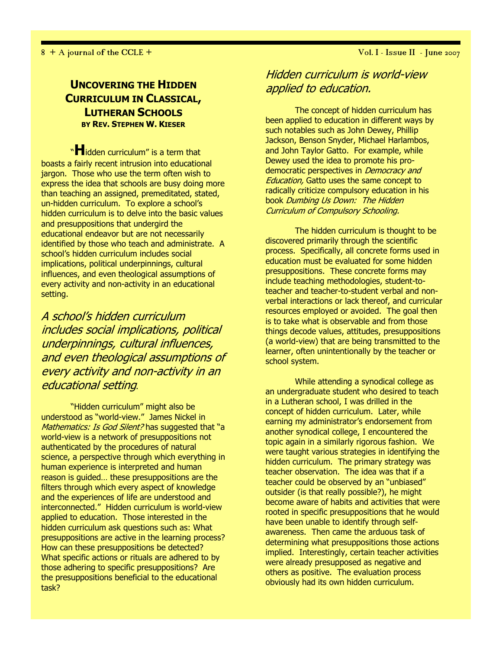## UNCOVERING THE HIDDEN CURRICULUM IN CLASSICAL, LUTHERAN SCHOOLS BY REV. STEPHEN W. KIESER

"Hidden curriculum" is a term that boasts a fairly recent intrusion into educational jargon. Those who use the term often wish to express the idea that schools are busy doing more than teaching an assigned, premeditated, stated, un-hidden curriculum. To explore a school's hidden curriculum is to delve into the basic values and presuppositions that undergird the educational endeavor but are not necessarily identified by those who teach and administrate. A school's hidden curriculum includes social implications, political underpinnings, cultural influences, and even theological assumptions of every activity and non-activity in an educational setting.

A school's hidden curriculum includes social implications, political underpinnings, cultural influences, and even theological assumptions of every activity and non-activity in an educational setting.

"Hidden curriculum" might also be understood as "world-view." James Nickel in Mathematics: Is God Silent? has suggested that "a world-view is a network of presuppositions not authenticated by the procedures of natural science, a perspective through which everything in human experience is interpreted and human reason is guided… these presuppositions are the filters through which every aspect of knowledge and the experiences of life are understood and interconnected." Hidden curriculum is world-view applied to education. Those interested in the hidden curriculum ask questions such as: What presuppositions are active in the learning process? How can these presuppositions be detected? What specific actions or rituals are adhered to by those adhering to specific presuppositions? Are the presuppositions beneficial to the educational task?

## Hidden curriculum is world-view applied to education.

The concept of hidden curriculum has been applied to education in different ways by such notables such as John Dewey, Phillip Jackson, Benson Snyder, Michael Harlambos, and John Taylor Gatto. For example, while Dewey used the idea to promote his prodemocratic perspectives in *Democracy and* **Education, Gatto uses the same concept to** radically criticize compulsory education in his book Dumbing Us Down: The Hidden Curriculum of Compulsory Schooling.

The hidden curriculum is thought to be discovered primarily through the scientific process. Specifically, all concrete forms used in education must be evaluated for some hidden presuppositions. These concrete forms may include teaching methodologies, student-toteacher and teacher-to-student verbal and nonverbal interactions or lack thereof, and curricular resources employed or avoided. The goal then is to take what is observable and from those things decode values, attitudes, presuppositions (a world-view) that are being transmitted to the learner, often unintentionally by the teacher or school system.

While attending a synodical college as an undergraduate student who desired to teach in a Lutheran school, I was drilled in the concept of hidden curriculum. Later, while earning my administrator's endorsement from another synodical college, I encountered the topic again in a similarly rigorous fashion. We were taught various strategies in identifying the hidden curriculum. The primary strategy was teacher observation. The idea was that if a teacher could be observed by an "unbiased" outsider (is that really possible?), he might become aware of habits and activities that were rooted in specific presuppositions that he would have been unable to identify through selfawareness. Then came the arduous task of determining what presuppositions those actions implied. Interestingly, certain teacher activities were already presupposed as negative and others as positive. The evaluation process obviously had its own hidden curriculum.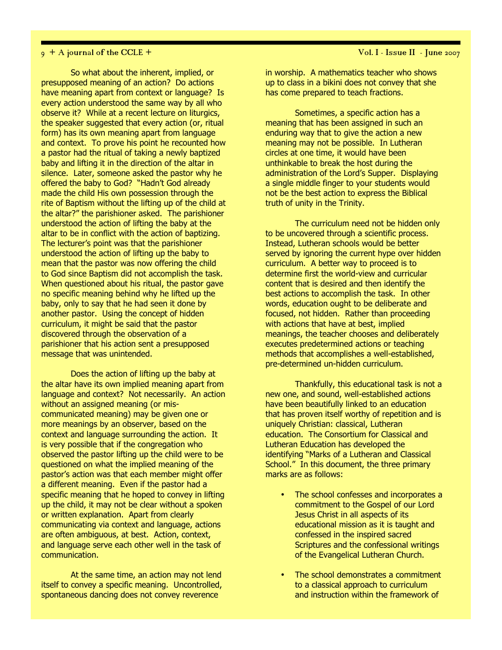#### $9 + A$  journal of the CCLE +  $\overline{V}$  vol. I - Issue II - June 2007

So what about the inherent, implied, or presupposed meaning of an action? Do actions have meaning apart from context or language? Is every action understood the same way by all who observe it? While at a recent lecture on liturgics, the speaker suggested that every action (or, ritual form) has its own meaning apart from language and context. To prove his point he recounted how a pastor had the ritual of taking a newly baptized baby and lifting it in the direction of the altar in silence. Later, someone asked the pastor why he offered the baby to God? "Hadn't God already made the child His own possession through the rite of Baptism without the lifting up of the child at the altar?" the parishioner asked. The parishioner understood the action of lifting the baby at the altar to be in conflict with the action of baptizing. The lecturer's point was that the parishioner understood the action of lifting up the baby to mean that the pastor was now offering the child to God since Baptism did not accomplish the task. When questioned about his ritual, the pastor gave no specific meaning behind why he lifted up the baby, only to say that he had seen it done by another pastor. Using the concept of hidden curriculum, it might be said that the pastor discovered through the observation of a parishioner that his action sent a presupposed message that was unintended.

Does the action of lifting up the baby at the altar have its own implied meaning apart from language and context? Not necessarily. An action without an assigned meaning (or miscommunicated meaning) may be given one or more meanings by an observer, based on the context and language surrounding the action. It is very possible that if the congregation who observed the pastor lifting up the child were to be questioned on what the implied meaning of the pastor's action was that each member might offer a different meaning. Even if the pastor had a specific meaning that he hoped to convey in lifting up the child, it may not be clear without a spoken or written explanation. Apart from clearly communicating via context and language, actions are often ambiguous, at best. Action, context, and language serve each other well in the task of communication.

At the same time, an action may not lend itself to convey a specific meaning. Uncontrolled, spontaneous dancing does not convey reverence

in worship. A mathematics teacher who shows up to class in a bikini does not convey that she has come prepared to teach fractions.

Sometimes, a specific action has a meaning that has been assigned in such an enduring way that to give the action a new meaning may not be possible. In Lutheran circles at one time, it would have been unthinkable to break the host during the administration of the Lord's Supper. Displaying a single middle finger to your students would not be the best action to express the Biblical truth of unity in the Trinity.

The curriculum need not be hidden only to be uncovered through a scientific process. Instead, Lutheran schools would be better served by ignoring the current hype over hidden curriculum. A better way to proceed is to determine first the world-view and curricular content that is desired and then identify the best actions to accomplish the task. In other words, education ought to be deliberate and focused, not hidden. Rather than proceeding with actions that have at best, implied meanings, the teacher chooses and deliberately executes predetermined actions or teaching methods that accomplishes a well-established, pre-determined un-hidden curriculum.

Thankfully, this educational task is not a new one, and sound, well-established actions have been beautifully linked to an education that has proven itself worthy of repetition and is uniquely Christian: classical, Lutheran education. The Consortium for Classical and Lutheran Education has developed the identifying "Marks of a Lutheran and Classical School." In this document, the three primary marks are as follows:

- The school confesses and incorporates a commitment to the Gospel of our Lord Jesus Christ in all aspects of its educational mission as it is taught and confessed in the inspired sacred Scriptures and the confessional writings of the Evangelical Lutheran Church.
- The school demonstrates a commitment to a classical approach to curriculum and instruction within the framework of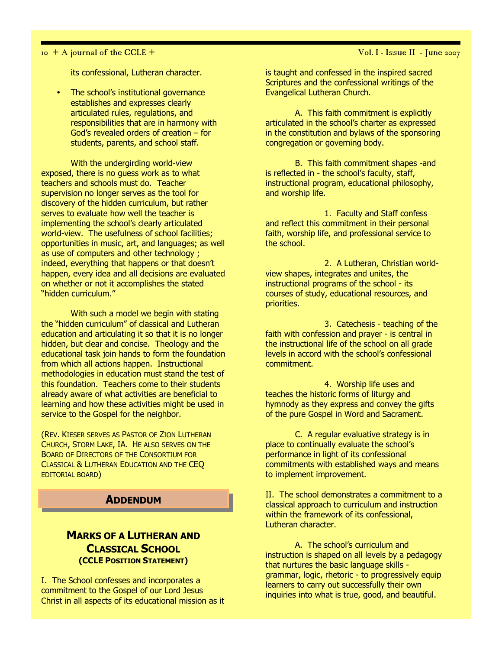### $10 + A$  journal of the CCLE +  $\sqrt{O(1 + A)}$  vol. I - Issue II - June 2007

its confessional, Lutheran character.

• The school's institutional governance establishes and expresses clearly articulated rules, regulations, and responsibilities that are in harmony with God's revealed orders of creation – for students, parents, and school staff.

With the undergirding world-view exposed, there is no guess work as to what teachers and schools must do. Teacher supervision no longer serves as the tool for discovery of the hidden curriculum, but rather serves to evaluate how well the teacher is implementing the school's clearly articulated world-view. The usefulness of school facilities; opportunities in music, art, and languages; as well as use of computers and other technology ; indeed, everything that happens or that doesn't happen, every idea and all decisions are evaluated on whether or not it accomplishes the stated "hidden curriculum."

With such a model we begin with stating the "hidden curriculum" of classical and Lutheran education and articulating it so that it is no longer hidden, but clear and concise. Theology and the educational task join hands to form the foundation from which all actions happen. Instructional methodologies in education must stand the test of this foundation. Teachers come to their students already aware of what activities are beneficial to learning and how these activities might be used in service to the Gospel for the neighbor.

(REV. KIESER SERVES AS PASTOR OF ZION LUTHERAN CHURCH, STORM LAKE, IA. HE ALSO SERVES ON THE BOARD OF DIRECTORS OF THE CONSORTIUM FOR CLASSICAL & LUTHERAN EDUCATION AND THE CEQ EDITORIAL BOARD)

## **ADDENDUM**

## MARKS OF A LUTHERAN AND CLASSICAL SCHOOL (CCLE POSITION STATEMENT)

I. The School confesses and incorporates a commitment to the Gospel of our Lord Jesus Christ in all aspects of its educational mission as it

is taught and confessed in the inspired sacred Scriptures and the confessional writings of the Evangelical Lutheran Church.

A. This faith commitment is explicitly articulated in the school's charter as expressed in the constitution and bylaws of the sponsoring congregation or governing body.

B. This faith commitment shapes -and is reflected in - the school's faculty, staff, instructional program, educational philosophy, and worship life.

1. Faculty and Staff confess and reflect this commitment in their personal faith, worship life, and professional service to the school.

2. A Lutheran, Christian worldview shapes, integrates and unites, the instructional programs of the school - its courses of study, educational resources, and priorities.

3. Catechesis - teaching of the faith with confession and prayer - is central in the instructional life of the school on all grade levels in accord with the school's confessional commitment.

4. Worship life uses and teaches the historic forms of liturgy and hymnody as they express and convey the gifts of the pure Gospel in Word and Sacrament.

C. A regular evaluative strategy is in place to continually evaluate the school's performance in light of its confessional commitments with established ways and means to implement improvement.

II. The school demonstrates a commitment to a classical approach to curriculum and instruction within the framework of its confessional, Lutheran character.

A. The school's curriculum and instruction is shaped on all levels by a pedagogy that nurtures the basic language skills grammar, logic, rhetoric - to progressively equip learners to carry out successfully their own inquiries into what is true, good, and beautiful.